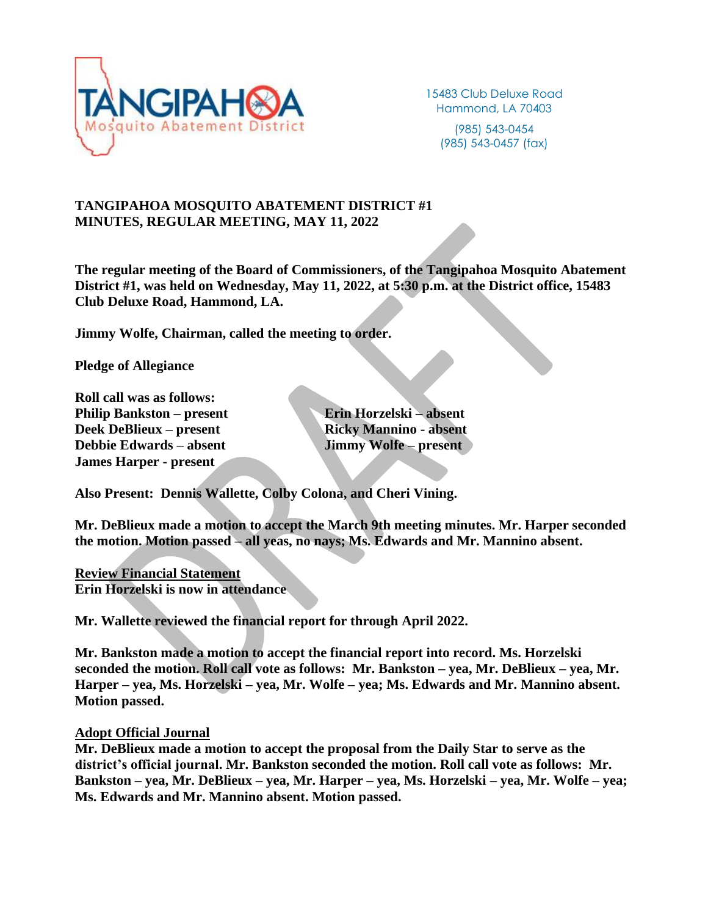

15483 Club Deluxe Road Hammond, LA 70403

(985) 543-0454 (985) 543-0457 (fax)

# **TANGIPAHOA MOSQUITO ABATEMENT DISTRICT #1 MINUTES, REGULAR MEETING, MAY 11, 2022**

**The regular meeting of the Board of Commissioners, of the Tangipahoa Mosquito Abatement District #1, was held on Wednesday, May 11, 2022, at 5:30 p.m. at the District office, 15483 Club Deluxe Road, Hammond, LA.**

**Jimmy Wolfe, Chairman, called the meeting to order.**

**Pledge of Allegiance**

**Roll call was as follows: Philip Bankston – present Erin Horzelski – absent Deek DeBlieux – present Ricky Mannino - absent Debbie Edwards – absent Jimmy Wolfe – present James Harper - present**

**Also Present: Dennis Wallette, Colby Colona, and Cheri Vining.**

**Mr. DeBlieux made a motion to accept the March 9th meeting minutes. Mr. Harper seconded the motion. Motion passed – all yeas, no nays; Ms. Edwards and Mr. Mannino absent.**

**Review Financial Statement Erin Horzelski is now in attendance**

**Mr. Wallette reviewed the financial report for through April 2022.** 

**Mr. Bankston made a motion to accept the financial report into record. Ms. Horzelski seconded the motion. Roll call vote as follows: Mr. Bankston – yea, Mr. DeBlieux – yea, Mr. Harper – yea, Ms. Horzelski – yea, Mr. Wolfe – yea; Ms. Edwards and Mr. Mannino absent. Motion passed.**

#### **Adopt Official Journal**

**Mr. DeBlieux made a motion to accept the proposal from the Daily Star to serve as the district's official journal. Mr. Bankston seconded the motion. Roll call vote as follows: Mr. Bankston – yea, Mr. DeBlieux – yea, Mr. Harper – yea, Ms. Horzelski – yea, Mr. Wolfe – yea; Ms. Edwards and Mr. Mannino absent. Motion passed.**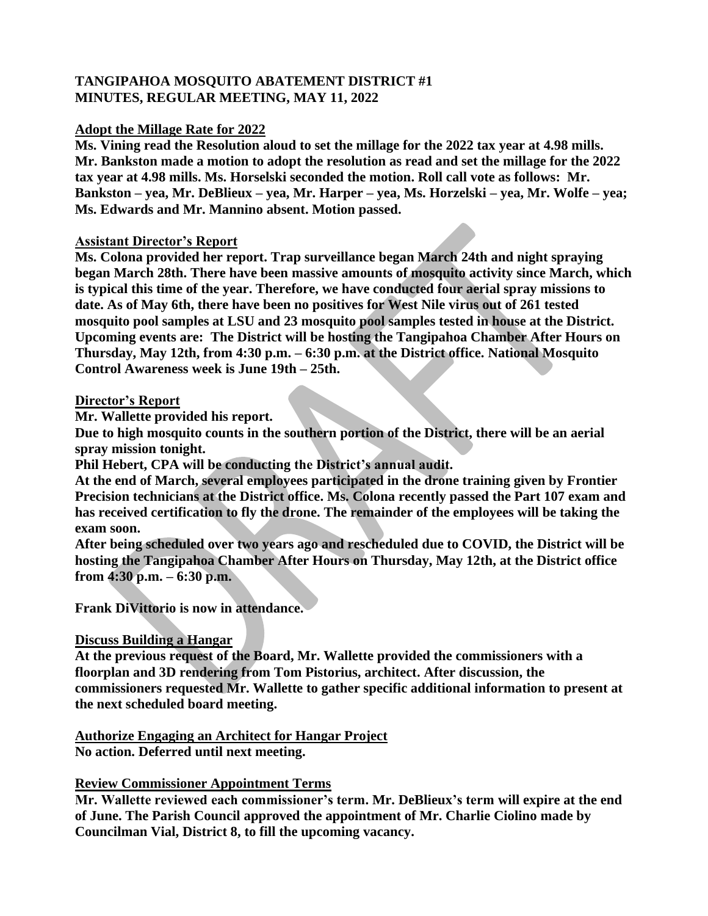# **TANGIPAHOA MOSQUITO ABATEMENT DISTRICT #1 MINUTES, REGULAR MEETING, MAY 11, 2022**

# **Adopt the Millage Rate for 2022**

**Ms. Vining read the Resolution aloud to set the millage for the 2022 tax year at 4.98 mills. Mr. Bankston made a motion to adopt the resolution as read and set the millage for the 2022 tax year at 4.98 mills. Ms. Horselski seconded the motion. Roll call vote as follows: Mr. Bankston – yea, Mr. DeBlieux – yea, Mr. Harper – yea, Ms. Horzelski – yea, Mr. Wolfe – yea; Ms. Edwards and Mr. Mannino absent. Motion passed.**

## **Assistant Director's Report**

**Ms. Colona provided her report. Trap surveillance began March 24th and night spraying began March 28th. There have been massive amounts of mosquito activity since March, which is typical this time of the year. Therefore, we have conducted four aerial spray missions to date. As of May 6th, there have been no positives for West Nile virus out of 261 tested mosquito pool samples at LSU and 23 mosquito pool samples tested in house at the District. Upcoming events are: The District will be hosting the Tangipahoa Chamber After Hours on Thursday, May 12th, from 4:30 p.m. – 6:30 p.m. at the District office. National Mosquito Control Awareness week is June 19th – 25th.**

## **Director's Report**

**Mr. Wallette provided his report.** 

**Due to high mosquito counts in the southern portion of the District, there will be an aerial spray mission tonight.**

**Phil Hebert, CPA will be conducting the District's annual audit.**

**At the end of March, several employees participated in the drone training given by Frontier Precision technicians at the District office. Ms. Colona recently passed the Part 107 exam and has received certification to fly the drone. The remainder of the employees will be taking the exam soon.**

**After being scheduled over two years ago and rescheduled due to COVID, the District will be hosting the Tangipahoa Chamber After Hours on Thursday, May 12th, at the District office from 4:30 p.m. – 6:30 p.m.**

**Frank DiVittorio is now in attendance.**

#### **Discuss Building a Hangar**

**At the previous request of the Board, Mr. Wallette provided the commissioners with a floorplan and 3D rendering from Tom Pistorius, architect. After discussion, the commissioners requested Mr. Wallette to gather specific additional information to present at the next scheduled board meeting.** 

**Authorize Engaging an Architect for Hangar Project No action. Deferred until next meeting.**

# **Review Commissioner Appointment Terms**

**Mr. Wallette reviewed each commissioner's term. Mr. DeBlieux's term will expire at the end of June. The Parish Council approved the appointment of Mr. Charlie Ciolino made by Councilman Vial, District 8, to fill the upcoming vacancy.**